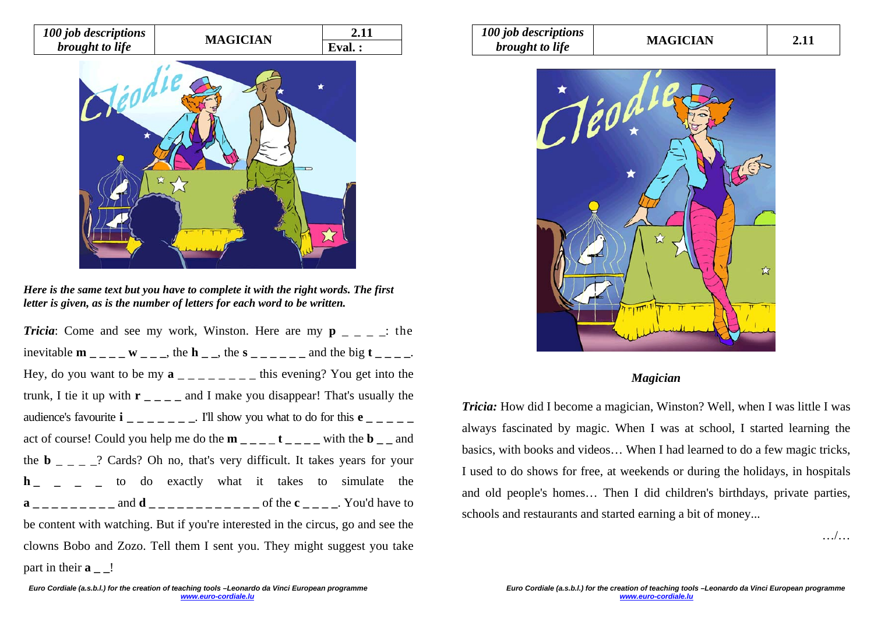



*Here is the same text but you have to complete it with the right words. The first letter is given, as is the number of letters for each word to be written.* 

*Tricia*: Come and see my work, Winston. Here are my  $p = 2$ .  $\therefore$  the inevitable  $\mathbf{m}_{-}$   $\mathbf{w}_{-}$   $\mathbf{w}_{-}$ , the  $\mathbf{h}_{-}$ , the  $\mathbf{s}_{-}$   $\mathbf{w}_{-}$  and the big  $\mathbf{t}_{-}$ . Hey, do you want to be my  $\mathbf{a}$   $\mathbf{a}$   $\mathbf{a}$   $\mathbf{a}$   $\mathbf{a}$   $\mathbf{a}$   $\mathbf{a}$   $\mathbf{b}$  =  $\mathbf{a}$  =  $\mathbf{a}$  =  $\mathbf{b}$  =  $\mathbf{b}$  =  $\mathbf{b}$  =  $\mathbf{c}$  =  $\mathbf{a}$  =  $\mathbf{b}$  =  $\mathbf{c}$  =  $\mathbf{b}$  =  $\mathbf{c}$  = trunk, I tie it up with  $\mathbf{r}_{\text{max}} = \mathbf{r}$  and I make you disappear! That's usually the audience's favourite  $\mathbf{i}$   $\mathbf{j}$   $\mathbf{k}$   $\mathbf{k}$  =  $\mathbf{k}$  =  $\mathbf{k}$  =  $\mathbf{k}$  =  $\mathbf{k}$  =  $\mathbf{k}$  =  $\mathbf{k}$  =  $\mathbf{k}$  =  $\mathbf{k}$  =  $\mathbf{k}$  =  $\mathbf{k}$  =  $\mathbf{k}$  =  $\mathbf{k}$  =  $\mathbf{k}$  =  $\mathbf{k}$  =  $\mathbf{k}$  =  $\mathbf{k}$  =  $\mathbf{k}$ act of course! Could you help me do the  $\mathbf{m}$   $_{\text{max}}$   $_{\text{max}}$  **t**  $_{\text{max}}$   $_{\text{min}}$  the  $\mathbf{b}$   $_{\text{max}}$  and the **b**  $\qquad = \qquad$   $\qquad$   $\qquad$   $\qquad$   $\qquad$   $\qquad$   $\qquad$   $\qquad$   $\qquad$   $\qquad$   $\qquad$   $\qquad$   $\qquad$   $\qquad$   $\qquad$   $\qquad$   $\qquad$   $\qquad$   $\qquad$   $\qquad$   $\qquad$   $\qquad$   $\qquad$   $\qquad$   $\qquad$   $\qquad$   $\qquad$   $\qquad$   $\qquad$   $\qquad$   $\qquad$   $\qquad$   $\qquad$   $\qquad$   $\qquad$ **h h** to do exactly what it takes to simulate the  $a_{\text{2}} = 2a_{\text{2}} = 2a_{\text{1}}$  and  $d_{\text{2}} = 2a_{\text{2}} = 2a_{\text{2}}$  of the  $c_{\text{2}} = 2a_{\text{2}}$ . You'd have to be content with watching. But if you're interested in the circus, go and see the clowns Bobo and Zozo. Tell them I sent you. They might suggest you take part in their **a** !

| 100 job descriptions<br><i>brought to life</i> | <b>MAGICIAN</b> | 2.11 |
|------------------------------------------------|-----------------|------|
|------------------------------------------------|-----------------|------|



## *Magician*

*Tricia:* How did I become a magician, Winston? Well, when I was little I was always fascinated by magic. When I was at school, I started learning the basics, with books and videos… When I had learned to do a few magic tricks, I used to do shows for free, at weekends or during the holidays, in hospitals and old people's homes… Then I did children's birthdays, private parties, schools and restaurants and started earning a bit of money...

…/…